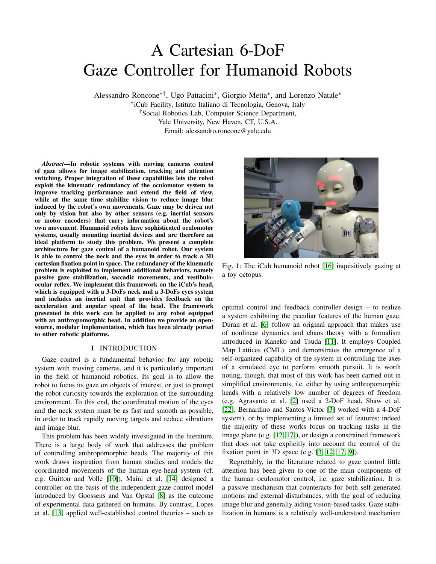# A Cartesian 6-DoF Gaze Controller for Humanoid Robots

Alessandro Roncone∗†, Ugo Pattacini<sup>∗</sup> , Giorgio Metta<sup>∗</sup> , and Lorenzo Natale<sup>∗</sup> ∗ iCub Facility, Istituto Italiano di Tecnologia, Genova, Italy †Social Robotics Lab, Computer Science Department,

> Yale University, New Haven, CT, U.S.A. Email: alessandro.roncone@yale.edu

*Abstract*—In robotic systems with moving cameras control of gaze allows for image stabilization, tracking and attention switching. Proper integration of these capabilities lets the robot exploit the kinematic redundancy of the oculomotor system to improve tracking performance and extend the field of view, while at the same time stabilize vision to reduce image blur induced by the robot's own movements. Gaze may be driven not only by vision but also by other sensors (e.g. inertial sensors or motor encoders) that carry information about the robot's own movement. Humanoid robots have sophisticated oculomotor systems, usually mounting inertial devices and are therefore an ideal platform to study this problem. We present a complete architecture for gaze control of a humanoid robot. Our system is able to control the neck and the eyes in order to track a 3D cartesian fixation point in space. The redundancy of the kinematic problem is exploited to implement additional behaviors, namely passive gaze stabilization, saccadic movements, and vestibuloocular reflex. We implement this framework on the iCub's head, which is equipped with a 3-DoFs neck and a 3-DoFs eyes system and includes an inertial unit that provides feedback on the acceleration and angular speed of the head. The framework presented in this work can be applied to any robot equipped with an anthropomorphic head. In addition we provide an opensource, modular implementation, which has been already ported to other robotic platforms.

# I. INTRODUCTION

Gaze control is a fundamental behavior for any robotic system with moving cameras, and it is particularly important in the field of humanoid robotics. Its goal is to allow the robot to focus its gaze on objects of interest, or just to prompt the robot curiosity towards the exploration of the surrounding environment. To this end, the coordinated motion of the eyes and the neck system must be as fast and smooth as possible, in order to track rapidly moving targets and reduce vibrations and image blur.

This problem has been widely investigated in the literature. There is a large body of work that addresses the problem of controlling anthropomorphic heads. The majority of this work draws inspiration from human studies and models the coordinated movements of the human eye-head system (cf. e.g. Guitton and Volle [\[10\]](#page-8-0)). Maini et al. [\[14\]](#page-8-1) designed a controller on the basis of the independent gaze control model introduced by Goossens and Van Opstal [\[8\]](#page-8-2) as the outcome of experimental data gathered on humans. By contrast, Lopes et al. [\[13\]](#page-8-3) applied well-established control theories – such as



Fig. 1: The iCub humanoid robot [\[16\]](#page-8-4) inquisitively gazing at a toy octopus.

optimal control and feedback controller design – to realize a system exhibiting the peculiar features of the human gaze. Duran et al. [\[6\]](#page-8-5) follow an original approach that makes use of nonlinear dynamics and chaos theory with a formalism introduced in Kaneko and Tsuda [\[11\]](#page-8-6). It employs Coupled Map Lattices (CML), and demonstrates the emergence of a self-organized capability of the system in controlling the axes of a simulated eye to perform smooth pursuit. It is worth noting, though, that most of this work has been carried out in simplified environments, i.e. either by using anthropomorphic heads with a relatively low number of degrees of freedom (e.g. Agravante et al. [\[2\]](#page-7-0) used a 2-DoF head, Shaw et al. [\[22\]](#page-8-7), Bernardino and Santos-Victor [\[3\]](#page-7-1) worked with a 4-DoF system), or by implementing a limited set of features: indeed the majority of these works focus on tracking tasks in the image plane (e.g. [\[12,](#page-8-8) [17\]](#page-8-9)), or design a constrained framework that does not take explicitly into account the control of the fixation point in 3D space (e.g. [\[3,](#page-7-1) [12,](#page-8-8) [17,](#page-8-9) [9\]](#page-8-10)).

Regrettably, in the literature related to gaze control little attention has been given to one of the main components of the human oculomotor control, i.e. gaze stabilization. It is a passive mechanism that counteracts for both self-generated motions and external disturbances, with the goal of reducing image blur and generally aiding vision-based tasks. Gaze stabilization in humans is a relatively well-understood mechanism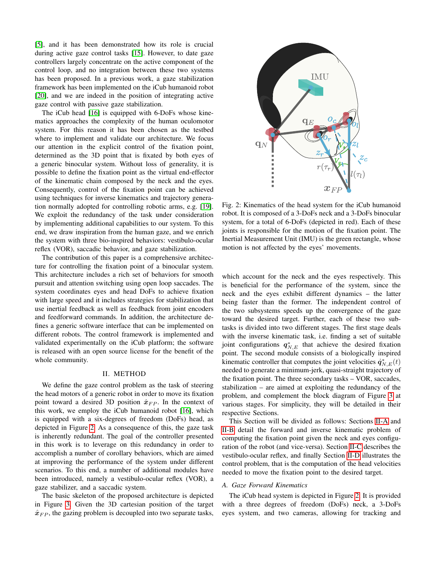[\[5\]](#page-8-11), and it has been demonstrated how its role is crucial during active gaze control tasks [\[15\]](#page-8-12). However, to date gaze controllers largely concentrate on the active component of the control loop, and no integration between these two systems has been proposed. In a previous work, a gaze stabilization framework has been implemented on the iCub humanoid robot [\[20\]](#page-8-13), and we are indeed in the position of integrating active gaze control with passive gaze stabilization.

The iCub head [\[16\]](#page-8-4) is equipped with 6-DoFs whose kinematics approaches the complexity of the human oculomotor system. For this reason it has been chosen as the testbed where to implement and validate our architecture. We focus our attention in the explicit control of the fixation point, determined as the 3D point that is fixated by both eyes of a generic binocular system. Without loss of generality, it is possible to define the fixation point as the virtual end-effector of the kinematic chain composed by the neck and the eyes. Consequently, control of the fixation point can be achieved using techniques for inverse kinematics and trajectory generation normally adopted for controlling robotic arms, e.g. [\[19\]](#page-8-14). We exploit the redundancy of the task under consideration by implementing additional capabilities to our system. To this end, we draw inspiration from the human gaze, and we enrich the system with three bio-inspired behaviors: vestibulo-ocular reflex (VOR), saccadic behavior, and gaze stabilization.

The contribution of this paper is a comprehensive architecture for controlling the fixation point of a binocular system. This architecture includes a rich set of behaviors for smooth pursuit and attention switching using open loop saccades. The system coordinates eyes and head DoFs to achieve fixation with large speed and it includes strategies for stabilization that use inertial feedback as well as feedback from joint encoders and feedforward commands. In addition, the architecture defines a generic software interface that can be implemented on different robots. The control framework is implemented and validated experimentally on the iCub platform; the software is released with an open source license for the benefit of the whole community.

#### II. METHOD

<span id="page-1-2"></span>We define the gaze control problem as the task of steering the head motors of a generic robot in order to move its fixation point toward a desired 3D position  $\hat{x}_{FP}$ . In the context of this work, we employ the iCub humanoid robot [\[16\]](#page-8-4), which is equipped with a six-degrees of freedom (DoFs) head, as depicted in Figure [2.](#page-1-0) As a consequence of this, the gaze task is inherently redundant. The goal of the controller presented in this work is to leverage on this redundancy in order to accomplish a number of corollary behaviors, which are aimed at improving the performance of the system under different scenarios. To this end, a number of additional modules have been introduced, namely a vestibulo-ocular reflex (VOR), a gaze stabilizer, and a saccadic system.

The basic skeleton of the proposed architecture is depicted in Figure [3.](#page-2-0) Given the 3D cartesian position of the target  $\hat{x}_{FP}$ , the gazing problem is decoupled into two separate tasks,

<span id="page-1-0"></span>

Fig. 2: Kinematics of the head system for the iCub humanoid robot. It is composed of a 3-DoFs neck and a 3-DoFs binocular system, for a total of 6-DoFs (depicted in red). Each of these joints is responsible for the motion of the fixation point. The Inertial Measurement Unit (IMU) is the green rectangle, whose motion is not affected by the eyes' movements.

which account for the neck and the eyes respectively. This is beneficial for the performance of the system, since the neck and the eyes exhibit different dynamics – the latter being faster than the former. The independent control of the two subsystems speeds up the convergence of the gaze toward the desired target. Further, each of these two subtasks is divided into two different stages. The first stage deals with the inverse kinematic task, i.e. finding a set of suitable joint configurations  $q_{N,E}^*$  that achieve the desired fixation point. The second module consists of a biologically inspired kinematic controller that computes the joint velocities  $\dot{q}_{N,E}^*(t)$ needed to generate a minimum-jerk, quasi-straight trajectory of the fixation point. The three secondary tasks – VOR, saccades, stabilization – are aimed at exploiting the redundancy of the problem, and complement the block diagram of Figure [3](#page-2-0) at various stages. For simplicity, they will be detailed in their respective Sections.

This Section will be divided as follows: Sections [II-A](#page-1-1) and [II-B](#page-2-1) detail the forward and inverse kinematic problem of computing the fixation point given the neck and eyes configuration of the robot (and vice-versa). Section [II-C](#page-3-0) describes the vestibulo-ocular reflex, and finally Section [II-D](#page-3-1) illustrates the control problem, that is the computation of the head velocities needed to move the fixation point to the desired target.

# <span id="page-1-1"></span>*A. Gaze Forward Kinematics*

The iCub head system is depicted in Figure [2.](#page-1-0) It is provided with a three degrees of freedom (DoFs) neck, a 3-DoFs eyes system, and two cameras, allowing for tracking and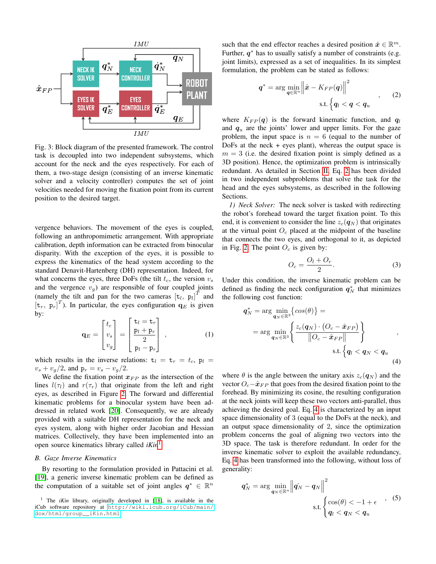<span id="page-2-0"></span>

Fig. 3: Block diagram of the presented framework. The control task is decoupled into two independent subsystems, which account for the neck and the eyes respectively. For each of them, a two-stage design (consisting of an inverse kinematic solver and a velocity controller) computes the set of joint velocities needed for moving the fixation point from its current position to the desired target.

vergence behaviors. The movement of the eyes is coupled, following an anthropomimetic arrangement. With appropriate calibration, depth information can be extracted from binocular disparity. With the exception of the eyes, it is possible to express the kinematics of the head system according to the standard Denavit-Hartenberg (DH) representation. Indeed, for what concerns the eyes, three DoFs (the tilt  $t_c$ , the version  $v_s$ and the vergence  $v_q$ ) are responsible of four coupled joints (namely the tilt and pan for the two cameras  $[t_l, p_l]^T$  and  $[t_r, p_r]^T$ ). In particular, the eyes configuration  $q_E$  is given by:

<span id="page-2-7"></span>
$$
\mathbf{q}_E = \begin{bmatrix} t_c \\ v_s \\ v_g \end{bmatrix} = \begin{bmatrix} \mathbf{t}_l = \mathbf{t}_r \\ \frac{\mathbf{p}_l + \mathbf{p}_r}{2} \\ \mathbf{p}_l - \mathbf{p}_r \end{bmatrix}, \qquad (1)
$$

which results in the inverse relations:  $t_l = t_r = t_c$ ,  $p_l =$  $v_s + v_q/2$ , and  $p_r = v_s - v_q/2$ .

We define the fixation point  $x_{FP}$  as the intersection of the lines  $l(\tau_l)$  and  $r(\tau_r)$  that originate from the left and right eyes, as described in Figure [2.](#page-1-0) The forward and differential kinematic problems for a binocular system have been addressed in related work [\[20\]](#page-8-13). Consequently, we are already provided with a suitable DH representation for the neck and eyes system, along with higher order Jacobian and Hessian matrices. Collectively, they have been implemented into an open source kinematics library called *iKin*[1](#page-2-2) .

#### <span id="page-2-1"></span>*B. Gaze Inverse Kinematics*

By resorting to the formulation provided in Pattacini et al. [\[19\]](#page-8-14), a generic inverse kinematic problem can be defined as the computation of a suitable set of joint angles  $q^* \in \mathbb{R}^n$ 

such that the end effector reaches a desired position  $\hat{x} \in \mathbb{R}^m$ . Further,  $q^*$  has to usually satisfy a number of constraints (e.g. joint limits), expressed as a set of inequalities. In its simplest formulation, the problem can be stated as follows:

<span id="page-2-3"></span>
$$
q^* = \arg\min_{\boldsymbol{q}\in\mathbb{R}^n} \left\|\hat{\boldsymbol{x}} - K_{FP}(\boldsymbol{q})\right\|^2
$$
\ns.t. 
$$
\left\{\boldsymbol{q}_l < \boldsymbol{q} < \boldsymbol{q}_u\right\} \tag{2}
$$

where  $K_{FP}(q)$  is the forward kinematic function, and  $q_l$ and  $q_u$  are the joints' lower and upper limits. For the gaze problem, the input space is  $n = 6$  (equal to the number of DoFs at the neck  $+$  eyes plant), whereas the output space is  $m = 3$  (i.e. the desired fixation point is simply defined as a 3D position). Hence, the optimization problem is intrinsically redundant. As detailed in Section [II,](#page-1-2) Eq. [2](#page-2-3) has been divided in two independent subproblems that solve the task for the head and the eyes subsystems, as described in the following Sections.

<span id="page-2-6"></span>*1) Neck Solver:* The neck solver is tasked with redirecting the robot's forehead toward the target fixation point. To this end, it is convenient to consider the line  $z_c(\mathbf{q}_N)$  that originates at the virtual point  $O_c$  placed at the midpoint of the baseline that connects the two eyes, and orthogonal to it, as depicted in Fig. [2.](#page-1-0) The point  $O_c$  is given by:

<span id="page-2-4"></span>
$$
O_c = \frac{O_l + O_r}{2}.\tag{3}
$$

Under this condition, the inverse kinematic problem can be defined as finding the neck configuration  $q_N^*$  that minimizes the following cost function:

$$
q_N^* = \arg\min_{\mathbf{q}_N \in \mathbb{R}^3} \left\{ \cos(\theta) \right\} =
$$
  
= 
$$
\arg\min_{\mathbf{q}_N \in \mathbb{R}^3} \left\{ \frac{z_c(\mathbf{q}_N) \cdot (O_c - \hat{\mathbf{x}}_{FP})}{\|O_c - \hat{\mathbf{x}}_{FP}\|} \right\}
$$
,  
s.t. 
$$
\left\{ q_l < \mathbf{q}_N < \mathbf{q}_u \right\} \tag{4}
$$

where  $\theta$  is the angle between the unitary axis  $z_c(\mathbf{q}_N)$  and the vector  $O_c-\hat{x}_{FP}$  that goes from the desired fixation point to the forehead. By minimizing its cosine, the resulting configuration at the neck joints will keep these two vectors anti-parallel, thus achieving the desired goal. Eq. [4](#page-2-4) is characterized by an input space dimensionality of 3 (equal to the DoFs at the neck), and an output space dimensionality of 2, since the optimization problem concerns the goal of aligning two vectors into the 3D space. The task is therefore redundant. In order for the inverse kinematic solver to exploit the available redundancy, Eq. [4](#page-2-4) has been transformed into the following, without loss of generality:

<span id="page-2-5"></span>
$$
q_N^* = \arg\min_{\boldsymbol{q}_N \in \mathbb{R}^n} \left\| \hat{\boldsymbol{q}_N} - \boldsymbol{q}_N \right\|^2
$$
  
s.t. 
$$
\begin{cases} \cos(\theta) < -1 + \epsilon \\ q_l < q_N < q_u \end{cases}
$$
, (5)

<span id="page-2-2"></span><sup>&</sup>lt;sup>1</sup> The *iKin* library, originally developed in [\[18\]](#page-8-15), is available in the iCub software repository at [http://wiki.icub.org/iCub/main/](http://wiki.icub.org/iCub/main/dox/html/group__iKin.html) [dox/html/group\\_\\_iKin.html](http://wiki.icub.org/iCub/main/dox/html/group__iKin.html)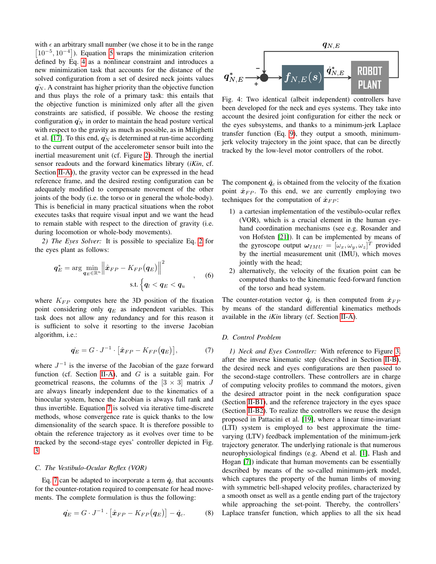with  $\epsilon$  an arbitrary small number (we chose it to be in the range  $[10^{-5}, 10^{-4}]$ ). Equation [5](#page-2-5) wraps the minimization criterion defined by Eq. [4](#page-2-4) as a nonlinear constraint and introduces a new minimization task that accounts for the distance of the solved configuration from a set of desired neck joints values  $q_N$ . A constraint has higher priority than the objective function and thus plays the role of a primary task: this entails that the objective function is minimized only after all the given constraints are satisfied, if possible. We choose the resting configuration  $\hat{q_N}$  in order to maintain the head posture vertical with respect to the gravity as much as possible, as in Milighetti et al. [\[17\]](#page-8-9). To this end,  $\hat{q_N}$  is determined at run-time according to the current output of the accelerometer sensor built into the inertial measurement unit (cf. Figure [2\)](#page-1-0). Through the inertial sensor readouts and the forward kinematics library (*iKin*, cf. Section [II-A\)](#page-1-1)), the gravity vector can be expressed in the head reference frame, and the desired resting configuration can be adequately modified to compensate movement of the other joints of the body (i.e. the torso or in general the whole-body). This is beneficial in many practical situations when the robot executes tasks that require visual input and we want the head to remain stable with respect to the direction of gravity (i.e. during locomotion or whole-body movements).

<span id="page-3-3"></span>*2) The Eyes Solver:* It is possible to specialize Eq. [2](#page-2-3) for the eyes plant as follows:

$$
q_E^* = \arg\min_{\boldsymbol{q}_E \in \mathbb{R}^n} \left\| \hat{\boldsymbol{x}}_{FP} - K_{FP}(\boldsymbol{q}_E) \right\|^2, \qquad (6)
$$
  
s.t. 
$$
\left\{ q_l < q_E < q_u \right\}
$$

where  $K_{FP}$  computes here the 3D position of the fixation point considering only  $q_E$  as independent variables. This task does not allow any redundancy and for this reason it is sufficient to solve it resorting to the inverse Jacobian algorithm, i.e.:

<span id="page-3-2"></span>
$$
\dot{\boldsymbol{q}_E} = G \cdot J^{-1} \cdot \left[ \hat{\boldsymbol{x}}_{FP} - K_{FP}(\boldsymbol{q}_E) \right],\tag{7}
$$

where  $J^{-1}$  is the inverse of the Jacobian of the gaze forward function (cf. Section [II-A\)](#page-1-1), and  $G$  is a suitable gain. For geometrical reasons, the columns of the  $[3 \times 3]$  matrix J are always linearly independent due to the kinematics of a binocular system, hence the Jacobian is always full rank and thus invertible. Equation [7](#page-3-2) is solved via iterative time-discrete methods, whose convergence rate is quick thanks to the low dimensionality of the search space. It is therefore possible to obtain the reference trajectory as it evolves over time to be tracked by the second-stage eyes' controller depicted in Fig. [3.](#page-2-0)

#### <span id="page-3-0"></span>*C. The Vestibulo-Ocular Reflex (VOR)*

Eq. [7](#page-3-2) can be adapted to incorporate a term  $\dot{q}_c$  that accounts for the counter-rotation required to compensate for head movements. The complete formulation is thus the following:

<span id="page-3-5"></span>
$$
\dot{\boldsymbol{q}_E} = G \cdot J^{-1} \cdot \left[ \hat{\boldsymbol{x}}_{FP} - K_{FP}(\boldsymbol{q}_E) \right] - \dot{\boldsymbol{q}}_c. \tag{8}
$$

<span id="page-3-4"></span>

Fig. 4: Two identical (albeit independent) controllers have been developed for the neck and eyes systems. They take into account the desired joint configuration for either the neck or the eyes subsystems, and thanks to a minimum-jerk Laplace transfer function (Eq. [9\)](#page-4-0), they output a smooth, minimumjerk velocity trajectory in the joint space, that can be directly tracked by the low-level motor controllers of the robot.

The component  $\dot{q}_c$  is obtained from the velocity of the fixation point  $\dot{x}_{FP}$ . To this end, we are currently employing two techniques for the computation of  $\dot{x}_{FP}$ :

- 1) a cartesian implementation of the vestibulo-ocular reflex (VOR), which is a crucial element in the human eyehand coordination mechanisms (see e.g. Rosander and von Hofsten [\[21\]](#page-8-16)). It can be implemented by means of the gyroscope output  $\boldsymbol{\omega}_{IMU} = [\omega_x, \omega_y, \omega_z]^T$  provided by the inertial measurement unit (IMU), which moves jointly with the head;
- 2) alternatively, the velocity of the fixation point can be computed thanks to the kinematic feed-forward function of the torso and head system.

The counter-rotation vector  $\dot{q}_c$  is then computed from  $\dot{x}_{FP}$ by means of the standard differential kinematics methods available in the *iKin* library (cf. Section [II-A\)](#page-1-1).

#### <span id="page-3-1"></span>*D. Control Problem*

*1) Neck and Eyes Controller:* With reference to Figure [3,](#page-2-0) after the inverse kinematic step (described in Section [II-B\)](#page-2-1), the desired neck and eyes configurations are then passed to the second-stage controllers. These controllers are in charge of computing velocity profiles to command the motors, given the desired attractor point in the neck configuration space (Section [II-B1\)](#page-2-6), and the reference trajectory in the eyes space (Section [II-B2\)](#page-3-3). To realize the controllers we reuse the design proposed in Pattacini et al. [\[19\]](#page-8-14), where a linear time-invariant (LTI) system is employed to best approximate the timevarying (LTV) feedback implementation of the minimum-jerk trajectory generator. The underlying rationale is that numerous neurophysiological findings (e.g. Abend et al. [\[1\]](#page-7-2), Flash and Hogan [\[7\]](#page-8-17)) indicate that human movements can be essentially described by means of the so-called minimum-jerk model, which captures the property of the human limbs of moving with symmetric bell-shaped velocity profiles, characterized by a smooth onset as well as a gentle ending part of the trajectory while approaching the set-point. Thereby, the controllers' Laplace transfer function, which applies to all the six head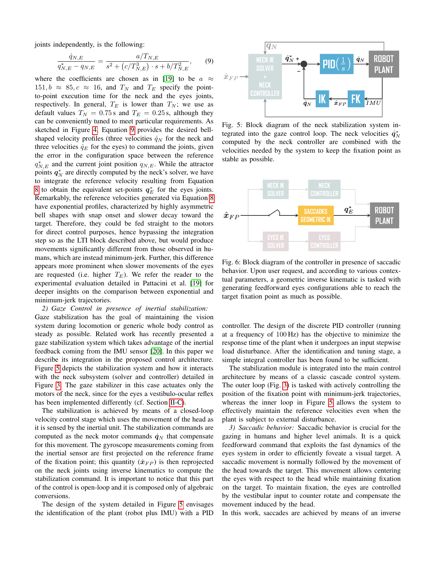joints independently, is the following:

$$
\frac{\dot{q}_{N,E}}{q_{N,E}^* - q_{N,E}} = \frac{a/T_{N,E}}{s^2 + (c/T_{N,E}^3) \cdot s + b/T_{N,E}^2},\qquad(9)
$$

where the coefficients are chosen as in [\[19\]](#page-8-14) to be  $a \approx$  $151, b \approx 85, c \approx 16$ , and  $T_N$  and  $T_E$  specify the pointto-point execution time for the neck and the eyes joints, respectively. In general,  $T_E$  is lower than  $T_N$ ; we use as default values  $T_N = 0.75$  s and  $T_E = 0.25$  s, although they can be conveniently tuned to meet particular requirements. As sketched in Figure [4,](#page-3-4) Equation [9](#page-4-0) provides the desired bellshaped velocity profiles (three velocities  $\dot{q}_N$  for the neck and three velocities  $\dot{q}_E$  for the eyes) to command the joints, given the error in the configuration space between the reference  $q_{N,E}^*$  and the current joint position  $q_{N,E}$ . While the attractor points  $q_N^*$  are directly computed by the neck's solver, we have to integrate the reference velocity resulting from Equation [8](#page-3-5) to obtain the equivalent set-points  $q_E^*$  for the eyes joints. Remarkably, the reference velocities generated via Equation [8](#page-3-5) have exponential profiles, characterized by highly asymmetric bell shapes with snap onset and slower decay toward the target. Therefore, they could be fed straight to the motors for direct control purposes, hence bypassing the integration step so as the LTI block described above, but would produce movements significantly different from those observed in humans, which are instead minimum-jerk. Further, this difference appears more prominent when slower movements of the eyes are requested (i.e. higher  $T_E$ ). We refer the reader to the experimental evaluation detailed in Pattacini et al. [\[19\]](#page-8-14) for deeper insights on the comparison between exponential and minimum-jerk trajectories.

<span id="page-4-4"></span>*2) Gaze Control in presence of inertial stabilization:* Gaze stabilization has the goal of maintaining the vision system during locomotion or generic whole body control as steady as possible. Related work has recently presented a gaze stabilization system which takes advantage of the inertial feedback coming from the IMU sensor [\[20\]](#page-8-13). In this paper we describe its integration in the proposed control architecture. Figure [5](#page-4-1) depicts the stabilization system and how it interacts with the neck subsystem (solver and controller) detailed in Figure [3.](#page-2-0) The gaze stabilizer in this case actuates only the motors of the neck, since for the eyes a vestibulo-ocular reflex has been implemented differently (cf. Section [II-C\)](#page-3-0).

The stabilization is achieved by means of a closed-loop velocity control stage which uses the movement of the head as it is sensed by the inertial unit. The stabilization commands are computed as the neck motor commands  $\dot{q}_N$  that compensate for this movement. The gyroscope measurements coming from the inertial sensor are first projected on the reference frame of the fixation point; this quantity  $(\dot{x}_{FP})$  is then reprojected on the neck joints using inverse kinematics to compute the stabilization command. It is important to notice that this part of the control is open-loop and it is composed only of algebraic conversions.

The design of the system detailed in Figure [5](#page-4-1) envisages the identification of the plant (robot plus IMU) with a PID

<span id="page-4-1"></span><span id="page-4-0"></span>

Fig. 5: Block diagram of the neck stabilization system integrated into the gaze control loop. The neck velocities  $\dot{q}_N^*$ computed by the neck controller are combined with the velocities needed by the system to keep the fixation point as stable as possible.

<span id="page-4-2"></span>

Fig. 6: Block diagram of the controller in presence of saccadic behavior. Upon user request, and according to various contextual parameters, a geometric inverse kinematic is tasked with generating feedforward eyes configurations able to reach the target fixation point as much as possible.

controller. The design of the discrete PID controller (running at a frequency of 100 Hz) has the objective to minimize the response time of the plant when it undergoes an input stepwise load disturbance. After the identification and tuning stage, a simple integral controller has been found to be sufficient.

The stabilization module is integrated into the main control architecture by means of a classic cascade control system. The outer loop (Fig. [3\)](#page-2-0) is tasked with actively controlling the position of the fixation point with minimum-jerk trajectories, whereas the inner loop in Figure [5](#page-4-1) allows the system to effectively maintain the reference velocities even when the plant is subject to external disturbance.

<span id="page-4-3"></span>*3) Saccadic behavior:* Saccadic behavior is crucial for the gazing in humans and higher level animals. It is a quick feedforward command that exploits the fast dynamics of the eyes system in order to efficiently foveate a visual target. A saccadic movement is normally followed by the movement of the head towards the target. This movement allows centering the eyes with respect to the head while maintaining fixation on the target. To maintain fixation, the eyes are controlled by the vestibular input to counter rotate and compensate the movement induced by the head.

In this work, saccades are achieved by means of an inverse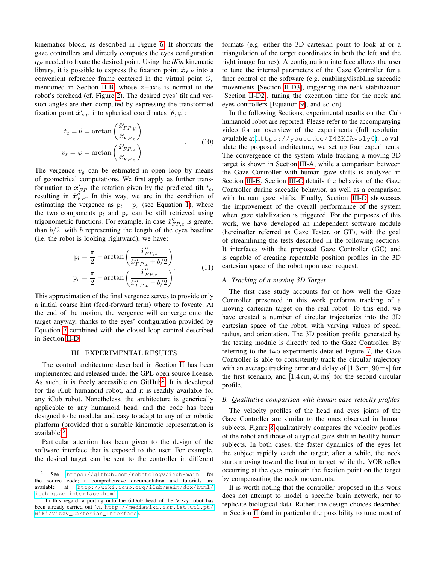kinematics block, as described in Figure [6.](#page-4-2) It shortcuts the gaze controllers and directly computes the eyes configuration  $q_E$  needed to fixate the desired point. Using the *iKin* kinematic library, it is possible to express the fixation point  $\hat{x}_{FP}$  into a convenient reference frame centered in the virtual point  $O<sub>c</sub>$ mentioned in Section [II-B,](#page-2-1) whose z−axis is normal to the robot's forehead (cf. Figure [2\)](#page-1-0). The desired eyes' tilt and version angles are then computed by expressing the transformed fixation point  $\hat{\mathbf{x}}'_{FP}$  into spherical coordinates  $[\theta, \varphi]$ :

$$
t_c = \theta = \arctan\left(\frac{\hat{x}_{FP,y}'}{\hat{x}_{FP,z}'}\right)
$$
  

$$
v_s = \varphi = \arctan\left(\frac{\hat{x}_{FP,z}'}{\hat{x}_{FP,z}'}\right)
$$
 (10)

The vergence  $v_g$  can be estimated in open loop by means of geometrical computations. We first apply as further transformation to  $\hat{\mathbf{x}}'_{FP}$  the rotation given by the predicted tilt  $t_c$ , resulting in  $\hat{\mathbf{x}}_{FP}$ . In this way, we are in the condition of estimating the vergence as  $p_l - p_r$  (see Equation [1\)](#page-2-7), where the two components  $p_l$  and  $p_r$  can be still retrieved using trigonometric functions. For example, in case  $\hat{x}^{\prime\prime}_{FP,x}$  is greater than  $b/2$ , with b representing the length of the eyes baseline (i.e. the robot is looking rightward), we have:

$$
p_l = \frac{\pi}{2} - \arctan\left(\frac{\hat{x}_{FP,z}^{\prime\prime}}{\hat{x}_{FP,x}^{\prime\prime} + b/2}\right)
$$

$$
p_r = \frac{\pi}{2} - \arctan\left(\frac{\hat{x}_{FP,z}^{\prime\prime}}{\hat{x}_{FP,x}^{\prime\prime} - b/2}\right)
$$
(11)

This approximation of the final vergence serves to provide only a initial coarse hint (feed-forward term) where to foveate. At the end of the motion, the vergence will converge onto the target anyway, thanks to the eyes' configuration provided by Equation [7](#page-3-2) combined with the closed loop control described in Section [II-D.](#page-3-1)

### III. EXPERIMENTAL RESULTS

The control architecture described in Section [II](#page-1-2) has been implemented and released under the GPL open source license. As such, it is freely accessible on GitHub<sup>[2](#page-5-0)</sup>. It is developed for the iCub humanoid robot, and it is readily available for any iCub robot. Nonetheless, the architecture is generically applicable to any humanoid head, and the code has been designed to be modular and easy to adapt to any other robotic platform (provided that a suitable kinematic representation is available)<sup>[3](#page-5-1)</sup>.

Particular attention has been given to the design of the software interface that is exposed to the user. For example, the desired target can be sent to the controller in different formats (e.g. either the 3D cartesian point to look at or a triangulation of the target coordinates in both the left and the right image frames). A configuration interface allows the user to tune the internal parameters of the Gaze Controller for a finer control of the software (e.g. enabling/disabling saccadic movements [Section [II-D3\]](#page-4-3), triggering the neck stabilization [Section [II-D2\]](#page-4-4), tuning the execution time for the neck and eyes controllers [Equation [9\]](#page-4-0), and so on).

In the following Sections, experimental results on the iCub humanoid robot are reported. Please refer to the accompanying video for an overview of the experiments (full resolution available at <https://youtu.be/I4ZKfAvs1y0>). To validate the proposed architecture, we set up four experiments. The convergence of the system while tracking a moving 3D target is shown in Section [III-A,](#page-5-2) while a comparison between the Gaze Controller with human gaze shifts is analyzed in Section [III-B.](#page-5-3) Section [III-C](#page-6-0) details the behavior of the Gaze Controller during saccadic behavior, as well as a comparison with human gaze shifts. Finally, Section [III-D](#page-6-1) showcases the improvement of the overall performance of the system when gaze stabilization is triggered. For the purposes of this work, we have developed an independent software module (hereinafter referred as Gaze Tester, or GT), with the goal of streamlining the tests described in the following sections. It interfaces with the proposed Gaze Controller (GC) and is capable of creating repeatable position profiles in the 3D cartesian space of the robot upon user request.

#### <span id="page-5-2"></span>*A. Tracking of a moving 3D Target*

The first case study accounts for of how well the Gaze Controller presented in this work performs tracking of a moving cartesian target on the real robot. To this end, we have created a number of circular trajectories into the 3D cartesian space of the robot, with varying values of speed, radius, and orientation. The 3D position profile generated by the testing module is directly fed to the Gaze Controller. By referring to the two experiments detailed Figure [7,](#page-6-2) the Gaze Controller is able to consistently track the circular trajectory with an average tracking error and delay of [1.3 cm, 90 ms] for the first scenario, and [1.4 cm, 40 ms] for the second circular profile.

# <span id="page-5-3"></span>*B. Qualitative comparison with human gaze velocity profiles*

The velocity profiles of the head and eyes joints of the Gaze Controller are similar to the ones observed in human subjects. Figure [8](#page-6-3) qualitatively compares the velocity profiles of the robot and those of a typical gaze shift in healthy human subjects. In both cases, the faster dynamics of the eyes let the subject rapidly catch the target; after a while, the neck starts moving toward the fixation target, while the VOR reflex occurring at the eyes maintain the fixation point on the target by compensating the neck movements.

It is worth noting that the controller proposed in this work does not attempt to model a specific brain network, nor to replicate biological data. Rather, the design choices described in Section [II](#page-1-2) (and in particular the possibility to tune most of

<span id="page-5-0"></span><sup>2</sup> See <https://github.com/robotology/icub-main> for the source code; a comprehensive documentation and tutorials are available at [http://wiki.icub.org/iCub/main/dox/html/](http://wiki.icub.org/iCub/main/dox/html/icub_gaze_interface.html) [icub\\_gaze\\_interface.html](http://wiki.icub.org/iCub/main/dox/html/icub_gaze_interface.html)

<span id="page-5-1"></span><sup>&</sup>lt;sup>3</sup> In this regard, a porting onto the 6-DoF head of the Vizzy robot has been already carried out (cf. [http://mediawiki.isr.ist.utl.pt/](http://mediawiki.isr.ist.utl.pt/wiki/Vizzy_Cartesian_Interface) [wiki/Vizzy\\_Cartesian\\_Interface](http://mediawiki.isr.ist.utl.pt/wiki/Vizzy_Cartesian_Interface)).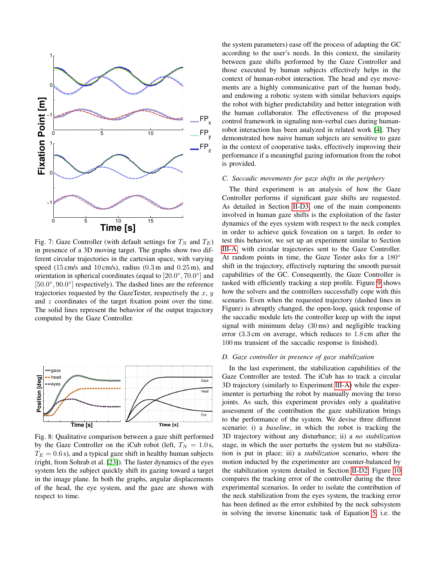<span id="page-6-2"></span>

Fig. 7: Gaze Controller (with default settings for  $T_N$  and  $T_E$ ) in presence of a 3D moving target. The graphs show two different circular trajectories in the cartesian space, with varying speed  $(15 \text{ cm/s}$  and  $10 \text{ cm/s}$ , radius  $(0.3 \text{ m}$  and  $0.25 \text{ m}$ ), and orientation in spherical coordinates (equal to  $[20.0^{\circ}, 70.0^{\circ}]$  and [50.0°, 90.0°] respectively). The dashed lines are the reference trajectories requested by the GazeTester, respectively the  $x, y$ and  $z$  coordinates of the target fixation point over the time. The solid lines represent the behavior of the output trajectory computed by the Gaze Controller.

<span id="page-6-3"></span>

Fig. 8: Qualitative comparison between a gaze shift performed by the Gaze Controller on the iCub robot (left,  $T_N = 1.0$  s,  $T_E = 0.6$  s), and a typical gaze shift in healthy human subjects (right, from Sohrab et al. [\[23\]](#page-8-18)). The faster dynamics of the eyes system lets the subject quickly shift its gazing toward a target in the image plane. In both the graphs, angular displacements of the head, the eye system, and the gaze are shown with respect to time.

the system parameters) ease off the process of adapting the GC according to the user's needs. In this context, the similarity between gaze shifts performed by the Gaze Controller and those executed by human subjects effectively helps in the context of human-robot interaction. The head and eye movements are a highly communicative part of the human body, and endowing a robotic system with similar behaviors equips the robot with higher predictability and better integration with the human collaborator. The effectiveness of the proposed control framework in signaling non-verbal cues during humanrobot interaction has been analyzed in related work [\[4\]](#page-7-3). They demonstrated how naive human subjects are sensitive to gaze in the context of cooperative tasks, effectively improving their performance if a meaningful gazing information from the robot is provided.

#### <span id="page-6-0"></span>*C. Saccadic movements for gaze shifts in the periphery*

The third experiment is an analysis of how the Gaze Controller performs if significant gaze shifts are requested. As detailed in Section [II-D3,](#page-4-3) one of the main components involved in human gaze shifts is the exploitation of the faster dynamics of the eyes system with respect to the neck complex in order to achieve quick foveation on a target. In order to test this behavior, we set up an experiment similar to Section [III-A,](#page-5-2) with circular trajectories sent to the Gaze Controller. At random points in time, the Gaze Tester asks for a 180° shift in the trajectory, effectively rupturing the smooth pursuit capabilities of the GC. Consequently, the Gaze Controller is tasked with efficiently tracking a step profile. Figure [9](#page-7-4) shows how the solvers and the controllers successfully cope with this scenario. Even when the requested trajectory (dashed lines in Figure) is abruptly changed, the open-loop, quick response of the saccadic module lets the controller keep up with the input signal with minimum delay (30 ms) and negligible tracking error (3.3 cm on average, which reduces to 1.8 cm after the 100 ms transient of the saccadic response is finished).

## <span id="page-6-1"></span>*D. Gaze controller in presence of gaze stabilization*

In the last experiment, the stabilization capabilities of the Gaze Controller are tested. The iCub has to track a circular 3D trajectory (similarly to Experiment [III-A\)](#page-5-2) while the experimenter is perturbing the robot by manually moving the torso joints. As such, this experiment provides only a qualitative assessment of the contribution the gaze stabilization brings to the performance of the system. We devise three different scenario: i) a *baseline*, in which the robot is tracking the 3D trajectory without any disturbance; ii) a *no stabilization* stage, in which the user perturbs the system but no stabilization is put in place; iii) a *stabilization* scenario, where the motion inducted by the experimenter are counter-balanced by the stabilization system detailed in Section [II-D2.](#page-4-4) Figure [10](#page-7-5) compares the tracking error of the controller during the three experimental scenarios. In order to isolate the contribution of the neck stabilization from the eyes system, the tracking error has been defined as the error exhibited by the neck subsystem in solving the inverse kinematic task of Equation [5,](#page-2-5) i.e. the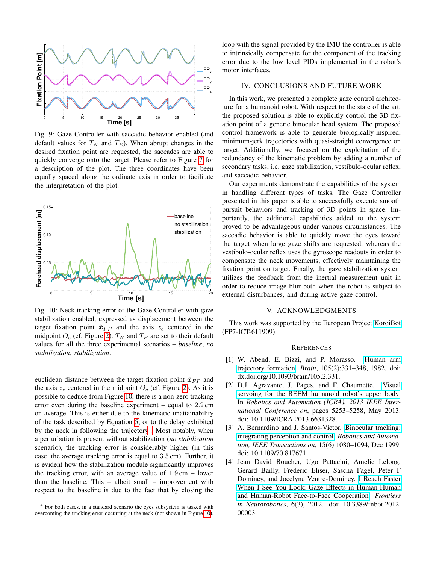<span id="page-7-4"></span>

Fig. 9: Gaze Controller with saccadic behavior enabled (and default values for  $T_N$  and  $T_E$ ). When abrupt changes in the desired fixation point are requested, the saccades are able to quickly converge onto the target. Please refer to Figure [7](#page-6-2) for a description of the plot. The three coordinates have been equally spaced along the ordinate axis in order to facilitate the interpretation of the plot.

<span id="page-7-5"></span>

Fig. 10: Neck tracking error of the Gaze Controller with gaze stabilization enabled, expressed as displacement between the target fixation point  $\hat{x}_{FP}$  and the axis  $z_c$  centered in the midpoint  $O_c$  (cf. Figure [2\)](#page-1-0).  $T_N$  and  $T_E$  are set to their default values for all the three experimental scenarios – *baseline*, *no stabilization*, *stabilization*.

euclidean distance between the target fixation point  $\hat{x}_{FP}$  and the axis  $z_c$  centered in the midpoint  $O_c$  (cf. Figure [2\)](#page-1-0). As it is possible to deduce from Figure [10,](#page-7-5) there is a non-zero tracking error even during the baseline experiment – equal to 2.2 cm on average. This is either due to the kinematic unattainability of the task described by Equation [5,](#page-2-5) or to the delay exhibited by the neck in following the trajectory<sup>[4](#page-7-6)</sup>. Most notably, when a perturbation is present without stabilization (*no stabilization* scenario), the tracking error is considerably higher (in this case, the average tracking error is equal to 3.5 cm). Further, it is evident how the stabilization module significantly improves the tracking error, with an average value of  $1.9 \text{ cm}$  – lower than the baseline. This – albeit small – improvement with respect to the baseline is due to the fact that by closing the

<span id="page-7-6"></span><sup>4</sup> For both cases, in a standard scenario the eyes subsystem is tasked with overcoming the tracking error occurring at the neck (not shown in Figure [10\)](#page-7-5).

loop with the signal provided by the IMU the controller is able to intrinsically compensate for the component of the tracking error due to the low level PIDs implemented in the robot's motor interfaces.

## IV. CONCLUSIONS AND FUTURE WORK

In this work, we presented a complete gaze control architecture for a humanoid robot. With respect to the state of the art, the proposed solution is able to explicitly control the 3D fixation point of a generic binocular head system. The proposed control framework is able to generate biologically-inspired, minimum-jerk trajectories with quasi-straight convergence on target. Additionally, we focused on the exploitation of the redundancy of the kinematic problem by adding a number of secondary tasks, i.e. gaze stabilization, vestibulo-ocular reflex, and saccadic behavior.

Our experiments demonstrate the capabilities of the system in handling different types of tasks. The Gaze Controller presented in this paper is able to successfully execute smooth pursuit behaviors and tracking of 3D points in space. Importantly, the additional capabilities added to the system proved to be advantageous under various circumstances. The saccadic behavior is able to quickly move the eyes toward the target when large gaze shifts are requested, whereas the vestibulo-ocular reflex uses the gyroscope readouts in order to compensate the neck movements, effectively maintaining the fixation point on target. Finally, the gaze stabilization system utilizes the feedback from the inertial measurement unit in order to reduce image blur both when the robot is subject to external disturbances, and during active gaze control.

#### V. ACKNOWLEDGMENTS

This work was supported by the European Project [KoroiBot](http://orb.iwr.uni-heidelberg.de/koroibot/) (FP7-ICT-611909).

#### **REFERENCES**

- <span id="page-7-2"></span>[1] W. Abend, E. Bizzi, and P. Morasso. [Human arm](http://dx.doi.org/10.1093/brain/105.2.331) [trajectory formation.](http://dx.doi.org/10.1093/brain/105.2.331) *Brain*, 105(2):331–348, 1982. doi: dx.doi.org/10.1093/brain/105.2.331.
- <span id="page-7-0"></span>[2] D.J. Agravante, J. Pages, and F. Chaumette. [Visual](http://ieeexplore.ieee.org/xpls/abs_all.jsp?arnumber=6631328&tag=1) [servoing for the REEM humanoid robot's upper body.](http://ieeexplore.ieee.org/xpls/abs_all.jsp?arnumber=6631328&tag=1) In *Robotics and Automation (ICRA), 2013 IEEE International Conference on*, pages 5253–5258, May 2013. doi: 10.1109/ICRA.2013.6631328.
- <span id="page-7-1"></span>[3] A. Bernardino and J. Santos-Victor. [Binocular tracking:](http://ieeexplore.ieee.org/xpls/abs_all.jsp?arnumber=817671) [integrating perception and control.](http://ieeexplore.ieee.org/xpls/abs_all.jsp?arnumber=817671) *Robotics and Automation, IEEE Transactions on*, 15(6):1080–1094, Dec 1999. doi: 10.1109/70.817671.
- <span id="page-7-3"></span>[4] Jean David Boucher, Ugo Pattacini, Amelie Lelong, Gerard Bailly, Frederic Elisei, Sascha Fagel, Peter F Dominey, and Jocelyne Ventre-Dominey. [I Reach Faster](http://www.ncbi.nlm.nih.gov/pubmed/22563315) [When I See You Look: Gaze Effects in Human-Human](http://www.ncbi.nlm.nih.gov/pubmed/22563315) [and Human-Robot Face-to-Face Cooperation.](http://www.ncbi.nlm.nih.gov/pubmed/22563315) *Frontiers in Neurorobotics*, 6(3), 2012. doi: 10.3389/fnbot.2012. 00003.